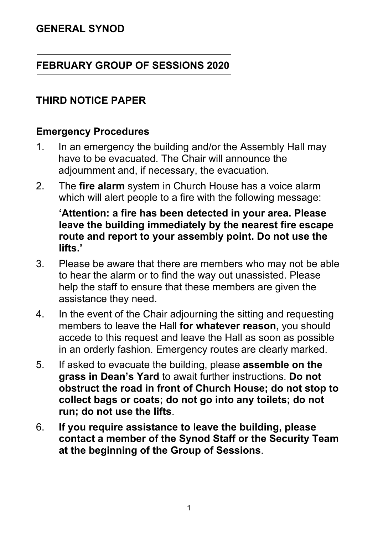# **FEBRUARY GROUP OF SESSIONS 2020**

### **THIRD NOTICE PAPER**

#### **Emergency Procedures**

- 1. In an emergency the building and/or the Assembly Hall may have to be evacuated. The Chair will announce the adjournment and, if necessary, the evacuation.
- 2. The **fire alarm** system in Church House has a voice alarm which will alert people to a fire with the following message:

**'Attention: a fire has been detected in your area. Please leave the building immediately by the nearest fire escape route and report to your assembly point. Do not use the lifts.'** 

- 3. Please be aware that there are members who may not be able to hear the alarm or to find the way out unassisted. Please help the staff to ensure that these members are given the assistance they need.
- 4. In the event of the Chair adjourning the sitting and requesting members to leave the Hall **for whatever reason,** you should accede to this request and leave the Hall as soon as possible in an orderly fashion. Emergency routes are clearly marked.
- 5. If asked to evacuate the building, please **assemble on the grass in Dean's Yard** to await further instructions. **Do not obstruct the road in front of Church House; do not stop to collect bags or coats; do not go into any toilets; do not run; do not use the lifts**.
- 6. **If you require assistance to leave the building, please contact a member of the Synod Staff or the Security Team at the beginning of the Group of Sessions**.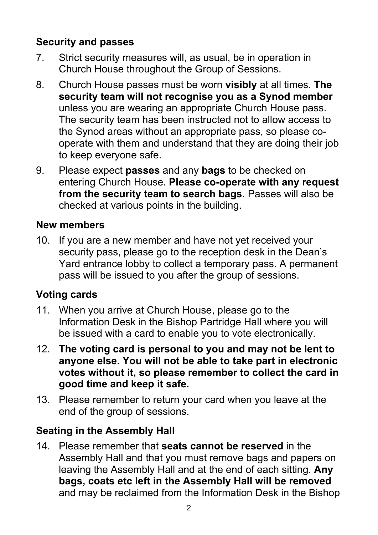# **Security and passes**

- 7. Strict security measures will, as usual, be in operation in Church House throughout the Group of Sessions.
- 8. Church House passes must be worn **visibly** at all times. **The security team will not recognise you as a Synod member** unless you are wearing an appropriate Church House pass. The security team has been instructed not to allow access to the Synod areas without an appropriate pass, so please cooperate with them and understand that they are doing their job to keep everyone safe.
- 9. Please expect **passes** and any **bags** to be checked on entering Church House. **Please co-operate with any request from the security team to search bags**. Passes will also be checked at various points in the building.

#### **New members**

10. If you are a new member and have not yet received your security pass, please go to the reception desk in the Dean's Yard entrance lobby to collect a temporary pass. A permanent pass will be issued to you after the group of sessions.

#### **Voting cards**

- 11. When you arrive at Church House, please go to the Information Desk in the Bishop Partridge Hall where you will be issued with a card to enable you to vote electronically.
- 12. **The voting card is personal to you and may not be lent to anyone else. You will not be able to take part in electronic votes without it, so please remember to collect the card in good time and keep it safe.**
- 13. Please remember to return your card when you leave at the end of the group of sessions.

### **Seating in the Assembly Hall**

14. Please remember that **seats cannot be reserved** in the Assembly Hall and that you must remove bags and papers on leaving the Assembly Hall and at the end of each sitting. **Any bags, coats etc left in the Assembly Hall will be removed** and may be reclaimed from the Information Desk in the Bishop